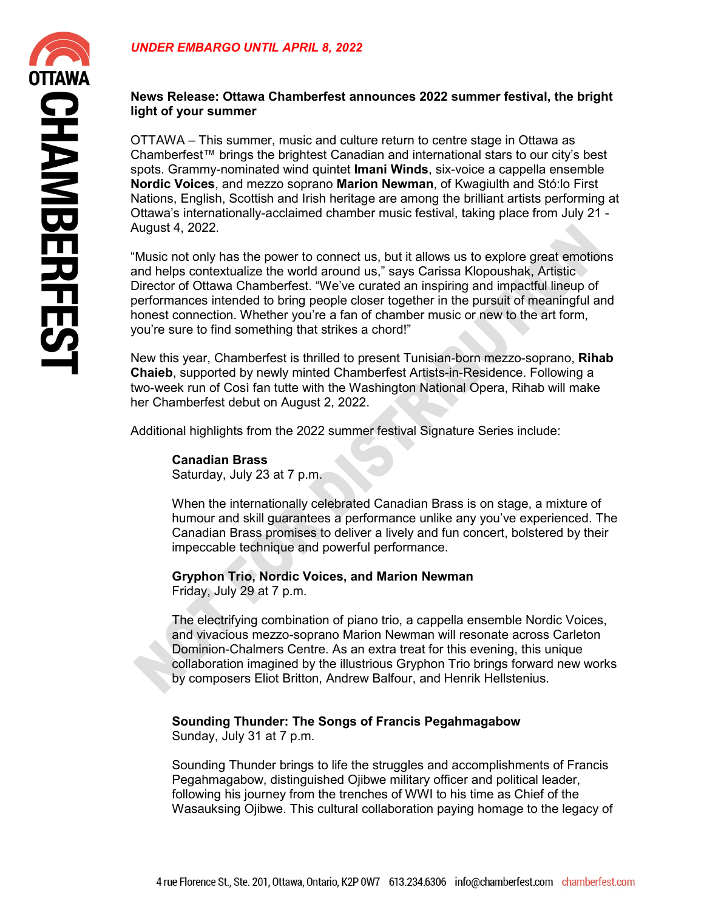## **News Release: Ottawa Chamberfest announces 2022 summer festival, the bright light of your summer**

OTTAWA – This summer, music and culture return to centre stage in Ottawa as Chamberfest™ brings the brightest Canadian and international stars to our city's best spots. Grammy-nominated wind quintet **Imani Winds**, six-voice a cappella ensemble **Nordic Voices**, and mezzo soprano **Marion Newman**, of Kwagiulth and Stó:lo First Nations, English, Scottish and Irish heritage are among the brilliant artists performing at Ottawa's internationally-acclaimed chamber music festival, taking place from July 21 - August 4, 2022.

"Music not only has the power to connect us, but it allows us to explore great emotions and helps contextualize the world around us," says Carissa Klopoushak, Artistic Director of Ottawa Chamberfest. "We've curated an inspiring and impactful lineup of performances intended to bring people closer together in the pursuit of meaningful and honest connection. Whether you're a fan of chamber music or new to the art form, you're sure to find something that strikes a chord!"

New this year, Chamberfest is thrilled to present Tunisian-born mezzo-soprano, **Rihab Chaieb**, supported by newly minted Chamberfest Artists-in-Residence. Following a two-week run of Così fan tutte with the Washington National Opera, Rihab will make her Chamberfest debut on August 2, 2022.

Additional highlights from the 2022 summer festival Signature Series include:

**Canadian Brass** Saturday, July 23 at 7 p.m.

When the internationally celebrated Canadian Brass is on stage, a mixture of humour and skill guarantees a performance unlike any you've experienced. The Canadian Brass promises to deliver a lively and fun concert, bolstered by their impeccable technique and powerful performance.

## **Gryphon Trio, Nordic Voices, and Marion Newman**

Friday, July 29 at 7 p.m.

The electrifying combination of piano trio, a cappella ensemble Nordic Voices, and vivacious mezzo-soprano Marion Newman will resonate across Carleton Dominion-Chalmers Centre. As an extra treat for this evening, this unique collaboration imagined by the illustrious Gryphon Trio brings forward new works by composers Eliot Britton, Andrew Balfour, and Henrik Hellstenius.

## **Sounding Thunder: The Songs of Francis Pegahmagabow**

Sunday, July 31 at 7 p.m.

Sounding Thunder brings to life the struggles and accomplishments of Francis Pegahmagabow, distinguished Ojibwe military officer and political leader, following his journey from the trenches of WWI to his time as Chief of the Wasauksing Ojibwe. This cultural collaboration paying homage to the legacy of